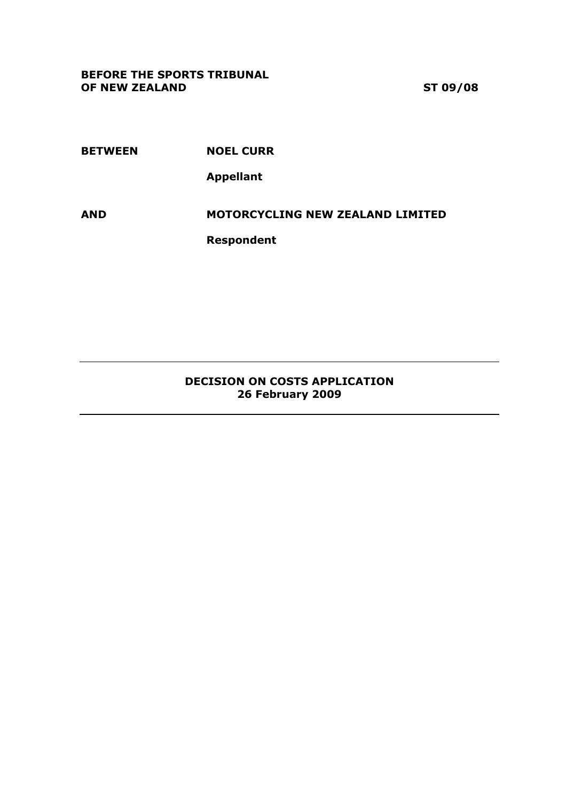BETWEEN NOEL CURR

Appellant

AND MOTORCYCLING NEW ZEALAND LIMITED

Respondent

## DECISION ON COSTS APPLICATION 26 February 2009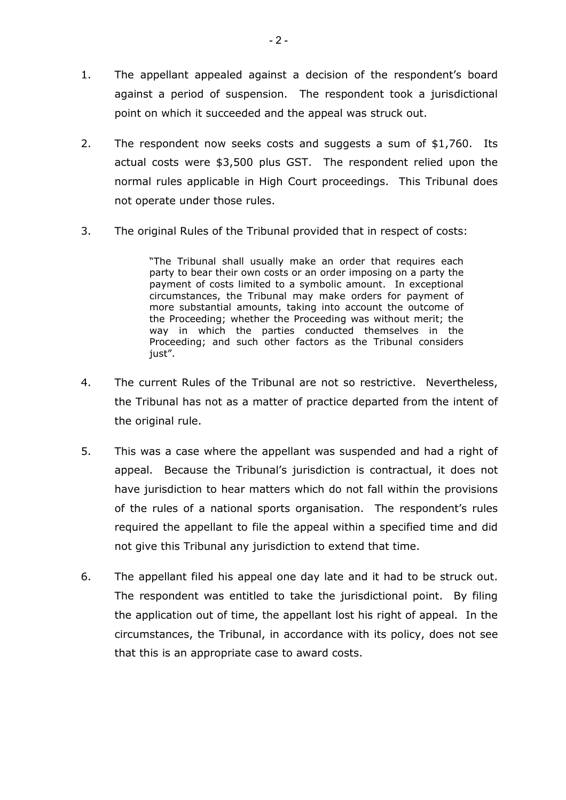- 1. The appellant appealed against a decision of the respondent's board against a period of suspension. The respondent took a jurisdictional point on which it succeeded and the appeal was struck out.
- 2. The respondent now seeks costs and suggests a sum of \$1,760. Its actual costs were \$3,500 plus GST. The respondent relied upon the normal rules applicable in High Court proceedings. This Tribunal does not operate under those rules.
- 3. The original Rules of the Tribunal provided that in respect of costs:

"The Tribunal shall usually make an order that requires each party to bear their own costs or an order imposing on a party the payment of costs limited to a symbolic amount. In exceptional circumstances, the Tribunal may make orders for payment of more substantial amounts, taking into account the outcome of the Proceeding; whether the Proceeding was without merit; the way in which the parties conducted themselves in the Proceeding; and such other factors as the Tribunal considers just".

- 4. The current Rules of the Tribunal are not so restrictive. Nevertheless, the Tribunal has not as a matter of practice departed from the intent of the original rule.
- 5. This was a case where the appellant was suspended and had a right of appeal. Because the Tribunal's jurisdiction is contractual, it does not have jurisdiction to hear matters which do not fall within the provisions of the rules of a national sports organisation. The respondent's rules required the appellant to file the appeal within a specified time and did not give this Tribunal any jurisdiction to extend that time.
- 6. The appellant filed his appeal one day late and it had to be struck out. The respondent was entitled to take the jurisdictional point. By filing the application out of time, the appellant lost his right of appeal. In the circumstances, the Tribunal, in accordance with its policy, does not see that this is an appropriate case to award costs.